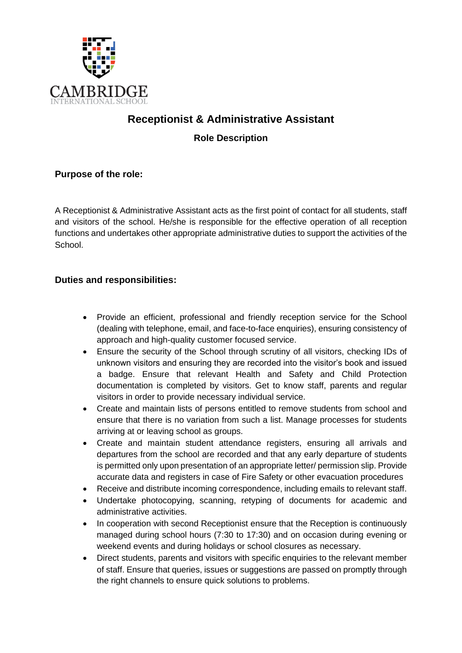

# **Receptionist & Administrative Assistant**

**Role Description**

**Purpose of the role:**

A Receptionist & Administrative Assistant acts as the first point of contact for all students, staff and visitors of the school. He/she is responsible for the effective operation of all reception functions and undertakes other appropriate administrative duties to support the activities of the School.

# **Duties and responsibilities:**

- Provide an efficient, professional and friendly reception service for the School (dealing with telephone, email, and face-to-face enquiries), ensuring consistency of approach and high-quality customer focused service.
- Ensure the security of the School through scrutiny of all visitors, checking IDs of unknown visitors and ensuring they are recorded into the visitor's book and issued a badge. Ensure that relevant Health and Safety and Child Protection documentation is completed by visitors. Get to know staff, parents and regular visitors in order to provide necessary individual service.
- Create and maintain lists of persons entitled to remove students from school and ensure that there is no variation from such a list. Manage processes for students arriving at or leaving school as groups.
- Create and maintain student attendance registers, ensuring all arrivals and departures from the school are recorded and that any early departure of students is permitted only upon presentation of an appropriate letter/ permission slip. Provide accurate data and registers in case of Fire Safety or other evacuation procedures
- Receive and distribute incoming correspondence, including emails to relevant staff.
- Undertake photocopying, scanning, retyping of documents for academic and administrative activities.
- In cooperation with second Receptionist ensure that the Reception is continuously managed during school hours (7:30 to 17:30) and on occasion during evening or weekend events and during holidays or school closures as necessary.
- Direct students, parents and visitors with specific enquiries to the relevant member of staff. Ensure that queries, issues or suggestions are passed on promptly through the right channels to ensure quick solutions to problems.